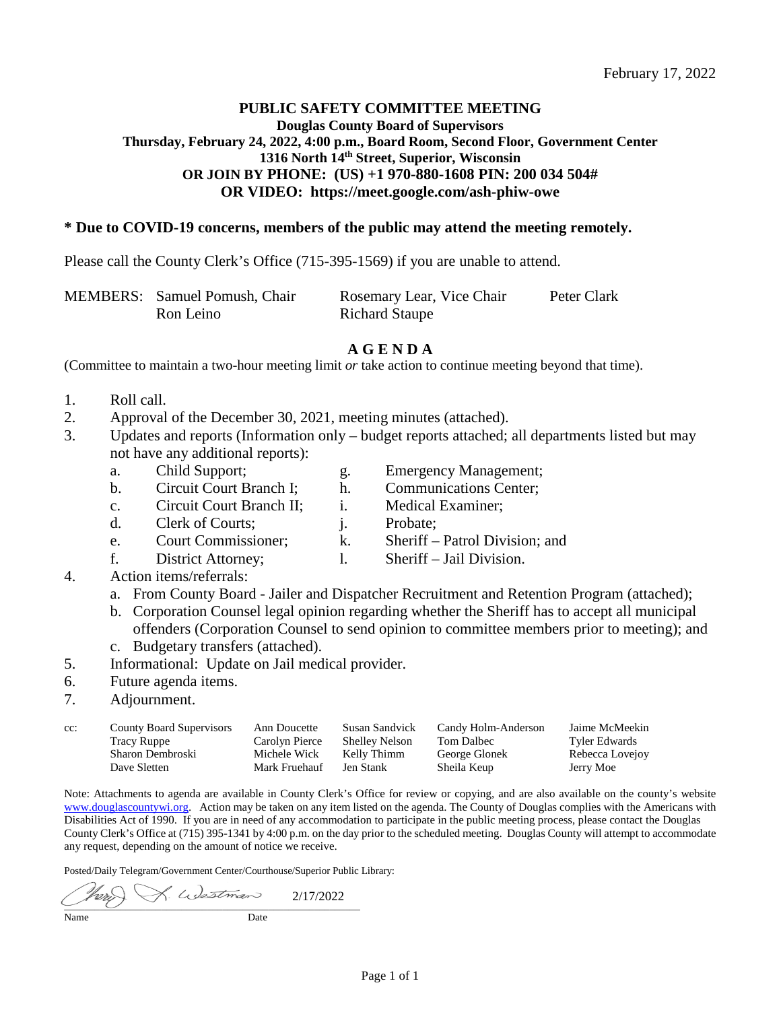# **PUBLIC SAFETY COMMITTEE MEETING Douglas County Board of Supervisors Thursday, February 24, 2022, 4:00 p.m., Board Room, Second Floor, Government Center 1316 North 14th Street, Superior, Wisconsin OR JOIN BY PHONE:** (US) +1 970-880-1608 PIN: 200 034 504# **OR VIDEO: https: // meet.google.com/ash-phiw-owe**

# **\* Due to COVID-19 concerns, members of the public may attend the meeting remotely.**

Please call the County Clerk's Office (715-395-1569) if you are unable to attend.

| MEMBERS: Samuel Pomush, Chair | Rosemary Lear, Vice Chair | Peter Clark |
|-------------------------------|---------------------------|-------------|
| Ron Leino                     | <b>Richard Staupe</b>     |             |

### **A G E N D A**

(Committee to maintain a two-hour meeting limit *or* take action to continue meeting beyond that time).

- 1. Roll call.
- 2. Approval of the December 30, 2021, meeting minutes (attached).
- 3. Updates and reports (Information only budget reports attached; all departments listed but may not have any additional reports):
	- a. Child Support; g. Emergency Management;
	- b. Circuit Court Branch I; h. Communications Center;
	- c. Circuit Court Branch II; i. Medical Examiner;
	- d. Clerk of Courts; i. Probate;
	- e. Court Commissioner; k. Sheriff Patrol Division; and
	- f. District Attorney; l. Sheriff Jail Division.
- 

- 4. Action items/referrals:
	- a. From County Board Jailer and Dispatcher Recruitment and Retention Program (attached);
	- b. Corporation Counsel legal opinion regarding whether the Sheriff has to accept all municipal offenders (Corporation Counsel to send opinion to committee members prior to meeting); and
	- c. Budgetary transfers (attached).
- 5. Informational: Update on Jail medical provider.
- 6. Future agenda items.
- 7. Adjournment.

| cc: | <b>County Board Supervisors</b> | Ann Doucette   | Susan Sandvick        | Candy Holm-Anderson | Jaime McMeekin       |
|-----|---------------------------------|----------------|-----------------------|---------------------|----------------------|
|     | <b>Tracy Ruppe</b>              | Carolyn Pierce | <b>Shelley Nelson</b> | Tom Dalbec          | <b>Tyler Edwards</b> |
|     | Sharon Dembroski                | Michele Wick   | Kelly Thimm           | George Glonek       | Rebecca Lovejov      |
|     | Dave Sletten                    | Mark Fruehauf  | Jen Stank             | Sheila Keup         | Jerry Moe            |

Note: Attachments to agenda are available in County Clerk's Office for review or copying, and are also available on the county's website [www.douglascountywi.org.](http://www.douglascountywi.org/) Action may be taken on any item listed on the agenda. The County of Douglas complies with the Americans with Disabilities Act of 1990. If you are in need of any accommodation to participate in the public meeting process, please contact the Douglas County Clerk's Office at (715) 395-1341 by 4:00 p.m. on the day prior to the scheduled meeting. Douglas County will attempt to accommodate any request, depending on the amount of notice we receive.

Posted/Daily Telegram/Government Center/Courthouse/Superior Public Library:

L. Westman í 2/17/2022 $\overline{\phantom{a}}$  ,  $\overline{\phantom{a}}$  ,  $\overline{\phantom{a}}$  ,  $\overline{\phantom{a}}$  ,  $\overline{\phantom{a}}$  ,  $\overline{\phantom{a}}$  ,  $\overline{\phantom{a}}$  ,  $\overline{\phantom{a}}$  ,  $\overline{\phantom{a}}$  ,  $\overline{\phantom{a}}$  ,  $\overline{\phantom{a}}$  ,  $\overline{\phantom{a}}$  ,  $\overline{\phantom{a}}$  ,  $\overline{\phantom{a}}$  ,  $\overline{\phantom{a}}$  ,  $\overline{\phantom{a}}$ Name Date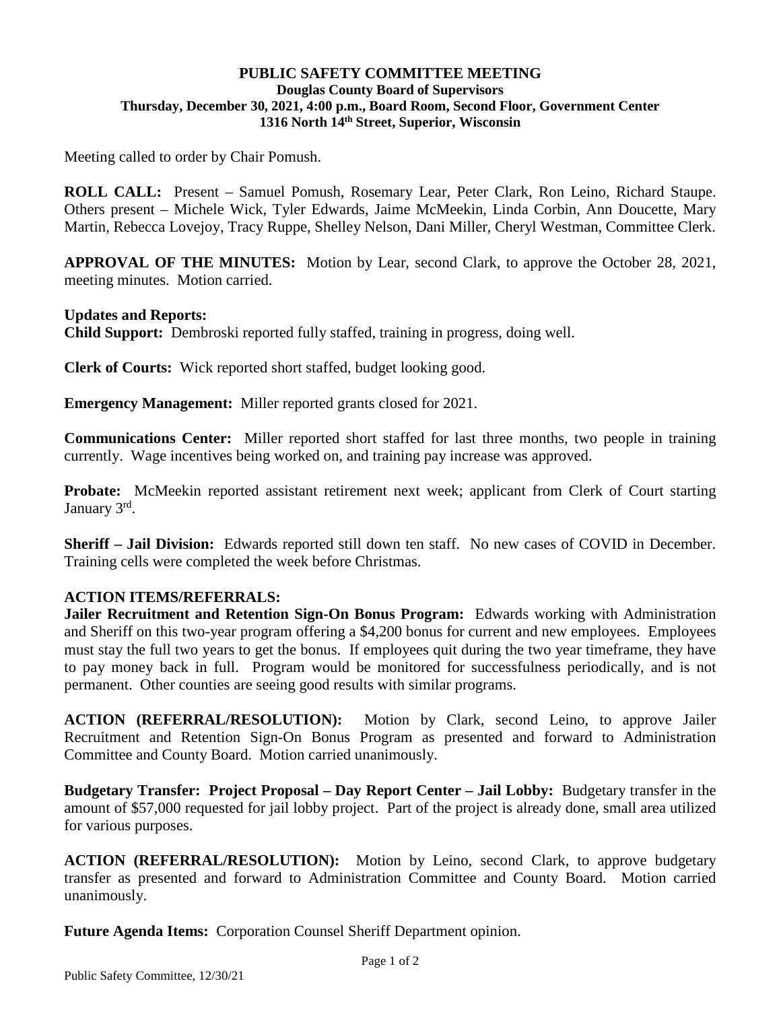# **PUBLIC SAFETY COMMITTEE MEETING Douglas County Board of Supervisors Thursday, December 30, 2021, 4:00 p.m., Board Room, Second Floor, Government Center 1316 North 14th Street, Superior, Wisconsin**

Meeting called to order by Chair Pomush.

**ROLL CALL:** Present – Samuel Pomush, Rosemary Lear, Peter Clark, Ron Leino, Richard Staupe. Others present – Michele Wick, Tyler Edwards, Jaime McMeekin, Linda Corbin, Ann Doucette, Mary Martin, Rebecca Lovejoy, Tracy Ruppe, Shelley Nelson, Dani Miller, Cheryl Westman, Committee Clerk.

**APPROVAL OF THE MINUTES:** Motion by Lear, second Clark, to approve the October 28, 2021, meeting minutes. Motion carried.

# **Updates and Reports:**

**Child Support:** Dembroski reported fully staffed, training in progress, doing well.

**Clerk of Courts:** Wick reported short staffed, budget looking good.

**Emergency Management:** Miller reported grants closed for 2021.

**Communications Center:** Miller reported short staffed for last three months, two people in training currently. Wage incentives being worked on, and training pay increase was approved.

**Probate:** McMeekin reported assistant retirement next week; applicant from Clerk of Court starting January 3rd.

**Sheriff – Jail Division:** Edwards reported still down ten staff. No new cases of COVID in December. Training cells were completed the week before Christmas.

# **ACTION ITEMS/REFERRALS:**

**Jailer Recruitment and Retention Sign-On Bonus Program:** Edwards working with Administration and Sheriff on this two-year program offering a \$4,200 bonus for current and new employees. Employees must stay the full two years to get the bonus. If employees quit during the two year timeframe, they have to pay money back in full. Program would be monitored for successfulness periodically, and is not permanent. Other counties are seeing good results with similar programs.

**ACTION (REFERRAL/RESOLUTION):** Motion by Clark, second Leino, to approve Jailer Recruitment and Retention Sign-On Bonus Program as presented and forward to Administration Committee and County Board. Motion carried unanimously.

**Budgetary Transfer: Project Proposal – Day Report Center – Jail Lobby:** Budgetary transfer in the amount of \$57,000 requested for jail lobby project. Part of the project is already done, small area utilized for various purposes.

**ACTION (REFERRAL/RESOLUTION):** Motion by Leino, second Clark, to approve budgetary transfer as presented and forward to Administration Committee and County Board. Motion carried unanimously.

**Future Agenda Items:** Corporation Counsel Sheriff Department opinion.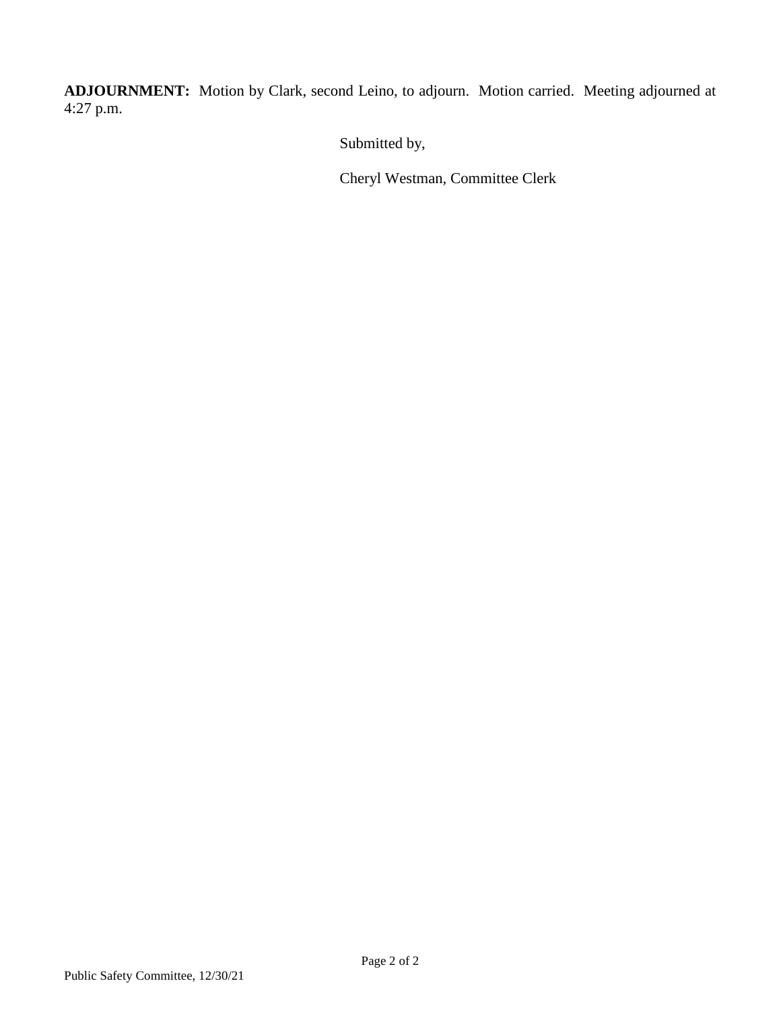**ADJOURNMENT:** Motion by Clark, second Leino, to adjourn. Motion carried. Meeting adjourned at 4:27 p.m.

Submitted by,

Cheryl Westman, Committee Clerk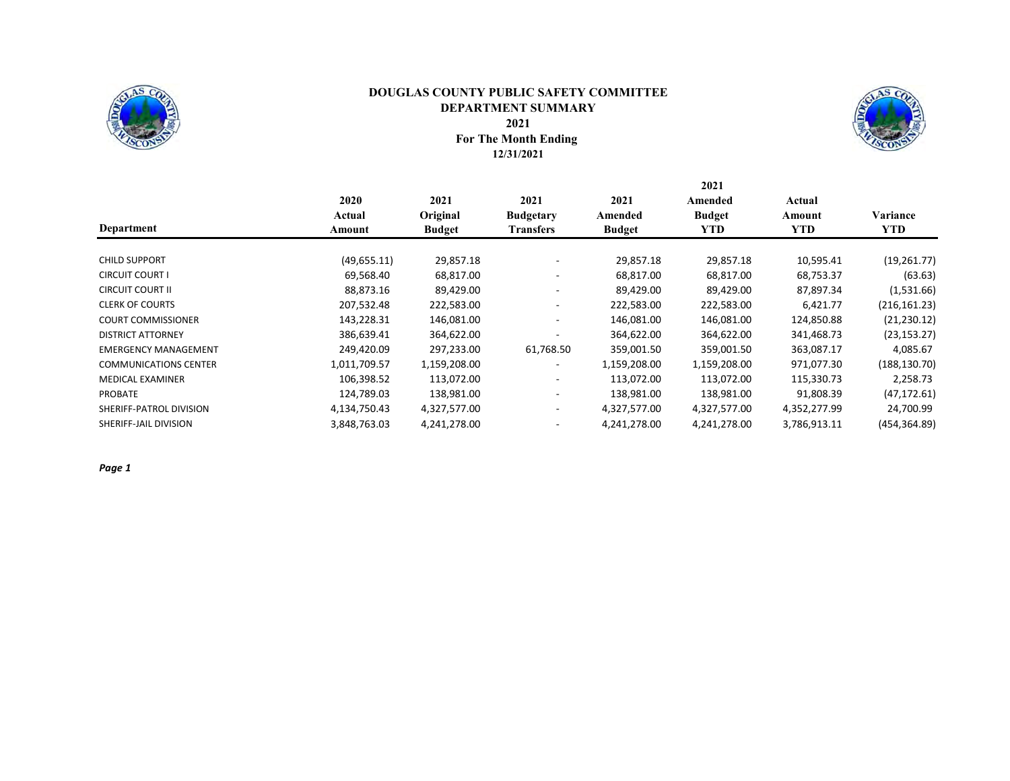

### For The Month Ending 12/31/2021 DOUGLAS COUNTY PUBLIC SAFETY COMMITTEE DEPARTMENT SUMMARY 2021



2021

|                              | 2020         | 2021          | 2021             | 2021          | Amended       | Actual       |               |
|------------------------------|--------------|---------------|------------------|---------------|---------------|--------------|---------------|
|                              | Actual       | Original      | <b>Budgetary</b> | Amended       | <b>Budget</b> | Amount       | Variance      |
| Department                   | Amount       | <b>Budget</b> | <b>Transfers</b> | <b>Budget</b> | YTD           | <b>YTD</b>   | YTD.          |
|                              |              |               |                  |               |               |              |               |
| <b>CHILD SUPPORT</b>         | (49,655.11)  | 29,857.18     |                  | 29,857.18     | 29,857.18     | 10,595.41    | (19, 261.77)  |
| <b>CIRCUIT COURT I</b>       | 69,568.40    | 68,817.00     |                  | 68,817.00     | 68,817.00     | 68,753.37    | (63.63)       |
| <b>CIRCUIT COURT II</b>      | 88,873.16    | 89,429.00     |                  | 89,429.00     | 89,429.00     | 87,897.34    | (1,531.66)    |
| <b>CLERK OF COURTS</b>       | 207,532.48   | 222,583.00    |                  | 222,583.00    | 222,583.00    | 6,421.77     | (216, 161.23) |
| <b>COURT COMMISSIONER</b>    | 143,228.31   | 146,081.00    |                  | 146,081.00    | 146,081.00    | 124,850.88   | (21, 230.12)  |
| <b>DISTRICT ATTORNEY</b>     | 386,639.41   | 364,622.00    |                  | 364,622.00    | 364,622.00    | 341,468.73   | (23, 153.27)  |
| <b>EMERGENCY MANAGEMENT</b>  | 249,420.09   | 297,233.00    | 61,768.50        | 359,001.50    | 359,001.50    | 363,087.17   | 4,085.67      |
| <b>COMMUNICATIONS CENTER</b> | 1,011,709.57 | 1,159,208.00  |                  | 1,159,208.00  | 1,159,208.00  | 971,077.30   | (188, 130.70) |
| <b>MEDICAL EXAMINER</b>      | 106,398.52   | 113,072.00    |                  | 113,072.00    | 113,072.00    | 115,330.73   | 2,258.73      |
| <b>PROBATE</b>               | 124,789.03   | 138,981.00    |                  | 138,981.00    | 138,981.00    | 91,808.39    | (47, 172.61)  |
| SHERIFF-PATROL DIVISION      | 4,134,750.43 | 4,327,577.00  |                  | 4,327,577.00  | 4,327,577.00  | 4,352,277.99 | 24,700.99     |
| SHERIFF-JAIL DIVISION        | 3,848,763.03 | 4,241,278.00  |                  | 4,241,278.00  | 4,241,278.00  | 3,786,913.11 | (454, 364.89) |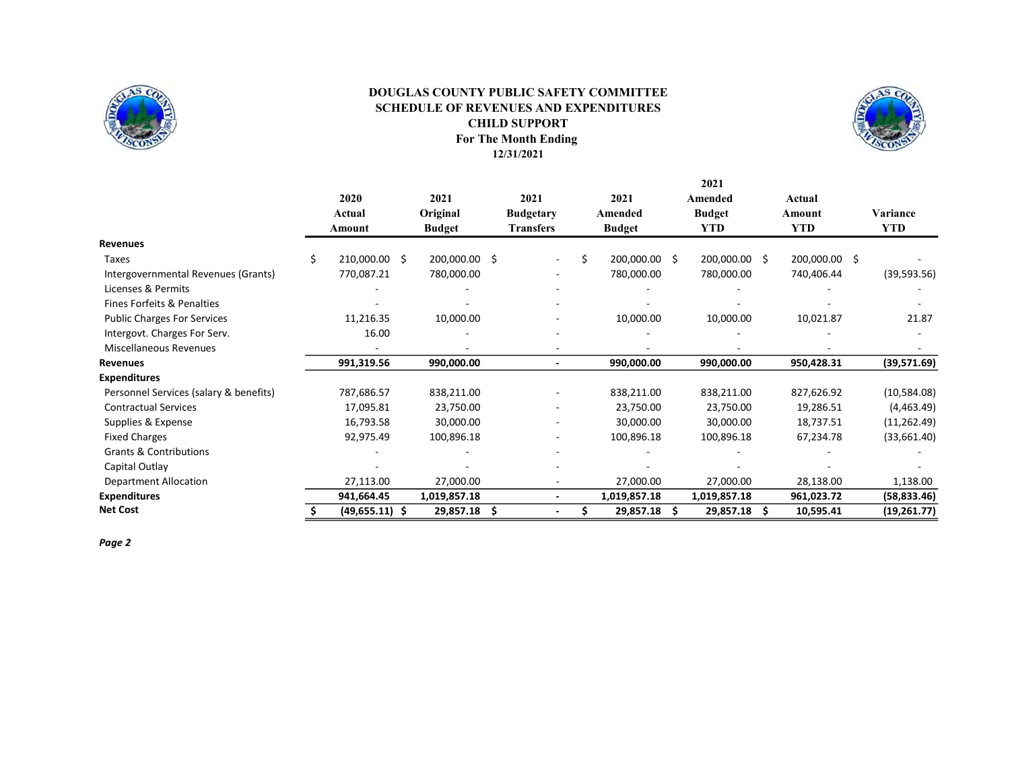

### For The Month Ending 12/31/2021 DOUGLAS COUNTY PUBLIC SAFETY COMMITTEE SCHEDULE OF REVENUES AND EXPENDITURES CHILD SUPPORT



|                                        |    |                  |    |               |                  |                  |      | 2021          |     |               |              |
|----------------------------------------|----|------------------|----|---------------|------------------|------------------|------|---------------|-----|---------------|--------------|
|                                        |    | 2020             |    | 2021          | 2021             | 2021             |      | Amended       |     | Actual        |              |
|                                        |    | Actual           |    | Original      | <b>Budgetary</b> | Amended          |      | <b>Budget</b> |     | Amount        | Variance     |
|                                        |    | Amount           |    | <b>Budget</b> | <b>Transfers</b> | <b>Budget</b>    |      | YTD           |     | <b>YTD</b>    | <b>YTD</b>   |
| <b>Revenues</b>                        |    |                  |    |               |                  |                  |      |               |     |               |              |
| Taxes                                  | Ś. | 210,000.00       | -S | 200,000.00    | \$<br>$\sim$     | \$<br>200,000.00 | - \$ | 200,000.00 \$ |     | 200,000.00 \$ |              |
| Intergovernmental Revenues (Grants)    |    | 770,087.21       |    | 780,000.00    |                  | 780,000.00       |      | 780,000.00    |     | 740,406.44    | (39, 593.56) |
| Licenses & Permits                     |    |                  |    |               |                  |                  |      |               |     |               |              |
| Fines Forfeits & Penalties             |    |                  |    |               |                  |                  |      |               |     |               |              |
| <b>Public Charges For Services</b>     |    | 11,216.35        |    | 10,000.00     |                  | 10,000.00        |      | 10,000.00     |     | 10,021.87     | 21.87        |
| Intergovt. Charges For Serv.           |    | 16.00            |    |               |                  |                  |      |               |     |               |              |
| <b>Miscellaneous Revenues</b>          |    |                  |    |               |                  |                  |      |               |     |               |              |
| <b>Revenues</b>                        |    | 991,319.56       |    | 990,000.00    |                  | 990,000.00       |      | 990,000.00    |     | 950,428.31    | (39,571.69)  |
| <b>Expenditures</b>                    |    |                  |    |               |                  |                  |      |               |     |               |              |
| Personnel Services (salary & benefits) |    | 787,686.57       |    | 838,211.00    |                  | 838,211.00       |      | 838,211.00    |     | 827,626.92    | (10,584.08)  |
| <b>Contractual Services</b>            |    | 17,095.81        |    | 23,750.00     |                  | 23,750.00        |      | 23,750.00     |     | 19,286.51     | (4,463.49)   |
| Supplies & Expense                     |    | 16,793.58        |    | 30,000.00     |                  | 30,000.00        |      | 30,000.00     |     | 18,737.51     | (11, 262.49) |
| <b>Fixed Charges</b>                   |    | 92,975.49        |    | 100,896.18    |                  | 100,896.18       |      | 100,896.18    |     | 67,234.78     | (33,661.40)  |
| <b>Grants &amp; Contributions</b>      |    |                  |    |               |                  |                  |      |               |     |               |              |
| Capital Outlay                         |    |                  |    |               |                  |                  |      |               |     |               |              |
| <b>Department Allocation</b>           |    | 27,113.00        |    | 27,000.00     |                  | 27,000.00        |      | 27,000.00     |     | 28,138.00     | 1,138.00     |
| <b>Expenditures</b>                    |    | 941,664.45       |    | 1,019,857.18  |                  | 1,019,857.18     |      | 1,019,857.18  |     | 961,023.72    | (58, 833.46) |
| <b>Net Cost</b>                        |    | $(49,655.11)$ \$ |    | 29,857.18     | \$               | 29,857.18        | Ś    | 29,857.18     | \$. | 10,595.41     | (19, 261.77) |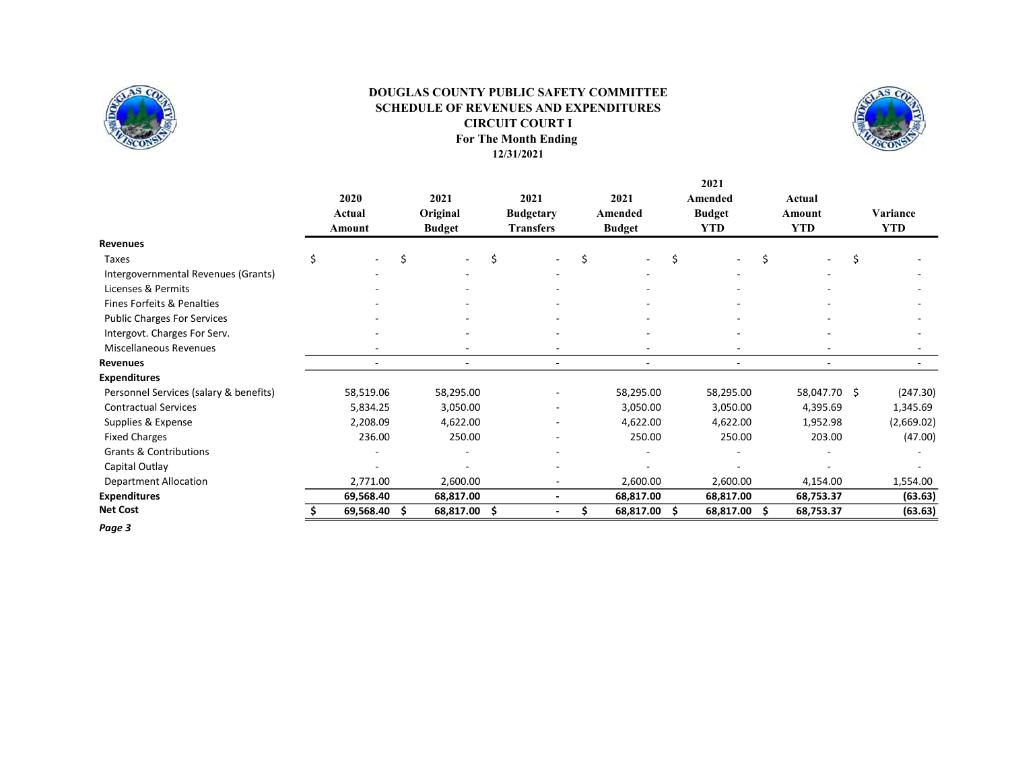

### For The Month Ending 12/31/2021 SCHEDULE OF REVENUES AND EXPENDITURES CIRCUIT COURT I DOUGLAS COUNTY PUBLIC SAFETY COMMITTEE



|                                        |   |                |    |                  |     |                                      |                 |    | 2021                        |    |                  |            |
|----------------------------------------|---|----------------|----|------------------|-----|--------------------------------------|-----------------|----|-----------------------------|----|------------------|------------|
|                                        |   | 2020<br>Actual |    | 2021<br>Original |     | 2021                                 | 2021<br>Amended |    | Amended                     |    | Actual<br>Amount | Variance   |
|                                        |   | Amount         |    | <b>Budget</b>    |     | <b>Budgetary</b><br><b>Transfers</b> | <b>Budget</b>   |    | <b>Budget</b><br><b>YTD</b> |    | <b>YTD</b>       | <b>YTD</b> |
| Revenues                               |   |                |    |                  |     |                                      |                 |    |                             |    |                  |            |
| <b>Taxes</b>                           | Ś |                | \$ |                  | \$  |                                      | \$              | \$ |                             | Ś. |                  | \$         |
| Intergovernmental Revenues (Grants)    |   |                |    |                  |     |                                      |                 |    |                             |    |                  |            |
| Licenses & Permits                     |   |                |    |                  |     |                                      |                 |    |                             |    |                  |            |
| Fines Forfeits & Penalties             |   |                |    |                  |     |                                      |                 |    |                             |    |                  |            |
| <b>Public Charges For Services</b>     |   |                |    |                  |     |                                      |                 |    |                             |    |                  |            |
| Intergovt. Charges For Serv.           |   |                |    |                  |     |                                      |                 |    |                             |    |                  |            |
| <b>Miscellaneous Revenues</b>          |   |                |    |                  |     |                                      |                 |    |                             |    |                  |            |
| <b>Revenues</b>                        |   |                |    | $\blacksquare$   |     |                                      | ٠               |    | ٠                           |    | $\blacksquare$   |            |
| <b>Expenditures</b>                    |   |                |    |                  |     |                                      |                 |    |                             |    |                  |            |
| Personnel Services (salary & benefits) |   | 58,519.06      |    | 58,295.00        |     |                                      | 58,295.00       |    | 58,295.00                   |    | 58,047.70 \$     | (247.30)   |
| <b>Contractual Services</b>            |   | 5,834.25       |    | 3,050.00         |     |                                      | 3,050.00        |    | 3,050.00                    |    | 4,395.69         | 1,345.69   |
| Supplies & Expense                     |   | 2,208.09       |    | 4,622.00         |     |                                      | 4,622.00        |    | 4,622.00                    |    | 1,952.98         | (2,669.02) |
| <b>Fixed Charges</b>                   |   | 236.00         |    | 250.00           |     |                                      | 250.00          |    | 250.00                      |    | 203.00           | (47.00)    |
| <b>Grants &amp; Contributions</b>      |   |                |    |                  |     |                                      |                 |    |                             |    |                  |            |
| Capital Outlay                         |   |                |    |                  |     |                                      |                 |    |                             |    |                  |            |
| <b>Department Allocation</b>           |   | 2,771.00       |    | 2,600.00         |     | $\overline{\phantom{a}}$             | 2,600.00        |    | 2,600.00                    |    | 4,154.00         | 1,554.00   |
| <b>Expenditures</b>                    |   | 69,568.40      |    | 68,817.00        |     |                                      | 68,817.00       |    | 68,817.00                   |    | 68,753.37        | (63.63)    |
| <b>Net Cost</b>                        |   | 69,568.40      | Ś  | 68,817.00        | \$. |                                      | 68,817.00       | -S | 68,817.00                   | Ŝ  | 68,753.37        | (63.63)    |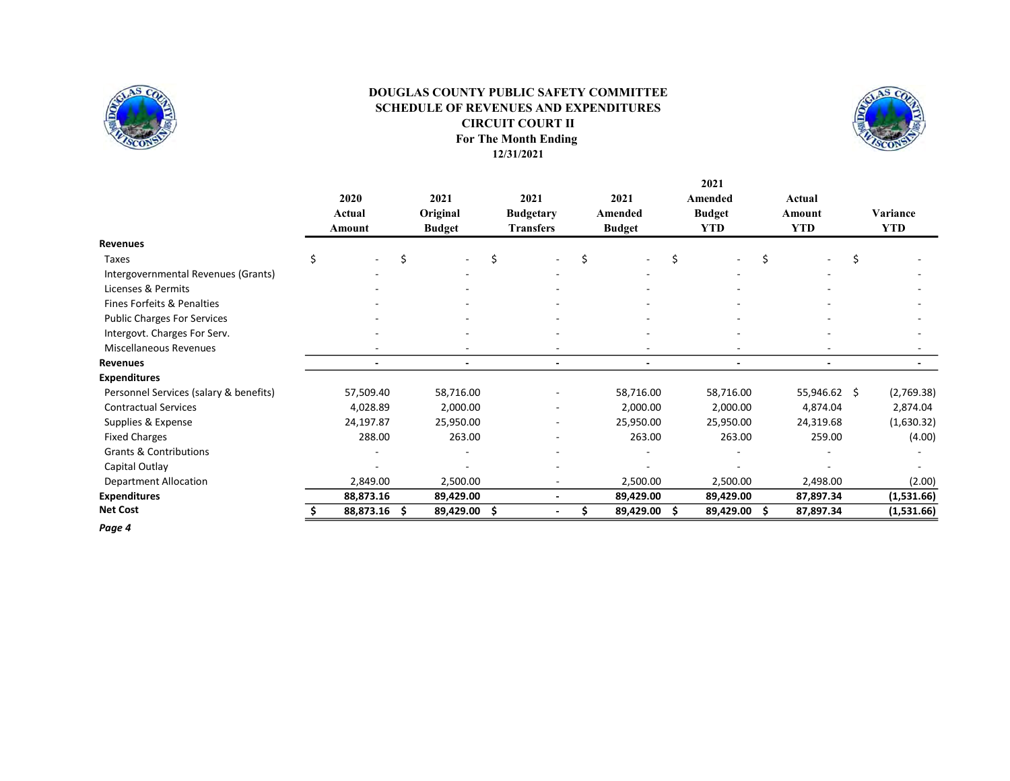

### For The Month Ending 12/31/2021 DOUGLAS COUNTY PUBLIC SAFETY COMMITTEE SCHEDULE OF REVENUES AND EXPENDITURES CIRCUIT COURT II



2021

|                                        | 2020<br>Actual<br>Amount |   | 2021<br>Original<br><b>Budget</b> |   | 2021<br><b>Budgetary</b><br><b>Transfers</b> |   | 2021<br>Amended<br><b>Budget</b> |    | Amended<br><b>Budget</b><br><b>YTD</b> |   | Actual<br>Amount<br><b>YTD</b> | Variance<br><b>YTD</b> |
|----------------------------------------|--------------------------|---|-----------------------------------|---|----------------------------------------------|---|----------------------------------|----|----------------------------------------|---|--------------------------------|------------------------|
| <b>Revenues</b>                        |                          |   |                                   |   |                                              |   |                                  |    |                                        |   |                                |                        |
| Taxes                                  |                          | Ś |                                   | Ś |                                              | Ś |                                  | \$ |                                        | Ś |                                | \$                     |
| Intergovernmental Revenues (Grants)    |                          |   |                                   |   |                                              |   |                                  |    |                                        |   |                                |                        |
| Licenses & Permits                     |                          |   |                                   |   |                                              |   |                                  |    |                                        |   |                                |                        |
| Fines Forfeits & Penalties             |                          |   |                                   |   |                                              |   |                                  |    |                                        |   |                                |                        |
| <b>Public Charges For Services</b>     |                          |   |                                   |   |                                              |   |                                  |    |                                        |   |                                |                        |
| Intergovt. Charges For Serv.           |                          |   |                                   |   |                                              |   |                                  |    |                                        |   |                                |                        |
| <b>Miscellaneous Revenues</b>          |                          |   |                                   |   |                                              |   |                                  |    |                                        |   |                                |                        |
| Revenues                               |                          |   |                                   |   |                                              |   |                                  |    |                                        |   |                                |                        |
| <b>Expenditures</b>                    |                          |   |                                   |   |                                              |   |                                  |    |                                        |   |                                |                        |
| Personnel Services (salary & benefits) | 57,509.40                |   | 58,716.00                         |   |                                              |   | 58,716.00                        |    | 58,716.00                              |   | 55,946.62 \$                   | (2,769.38)             |
| <b>Contractual Services</b>            | 4,028.89                 |   | 2,000.00                          |   |                                              |   | 2,000.00                         |    | 2,000.00                               |   | 4,874.04                       | 2,874.04               |
| Supplies & Expense                     | 24,197.87                |   | 25,950.00                         |   |                                              |   | 25,950.00                        |    | 25,950.00                              |   | 24,319.68                      | (1,630.32)             |
| <b>Fixed Charges</b>                   | 288.00                   |   | 263.00                            |   |                                              |   | 263.00                           |    | 263.00                                 |   | 259.00                         | (4.00)                 |
| <b>Grants &amp; Contributions</b>      |                          |   |                                   |   |                                              |   |                                  |    |                                        |   |                                |                        |
| Capital Outlay                         |                          |   |                                   |   |                                              |   |                                  |    |                                        |   |                                |                        |
| <b>Department Allocation</b>           | 2,849.00                 |   | 2,500.00                          |   |                                              |   | 2,500.00                         |    | 2,500.00                               |   | 2,498.00                       | (2.00)                 |
| <b>Expenditures</b>                    | 88,873.16                |   | 89,429.00                         |   |                                              |   | 89,429.00                        |    | 89,429.00                              |   | 87,897.34                      | (1,531.66)             |
| <b>Net Cost</b>                        | 88,873.16                | S | 89,429.00                         | S |                                              |   | 89,429.00                        | S  | 89,429.00                              | S | 87,897.34                      | (1,531.66)             |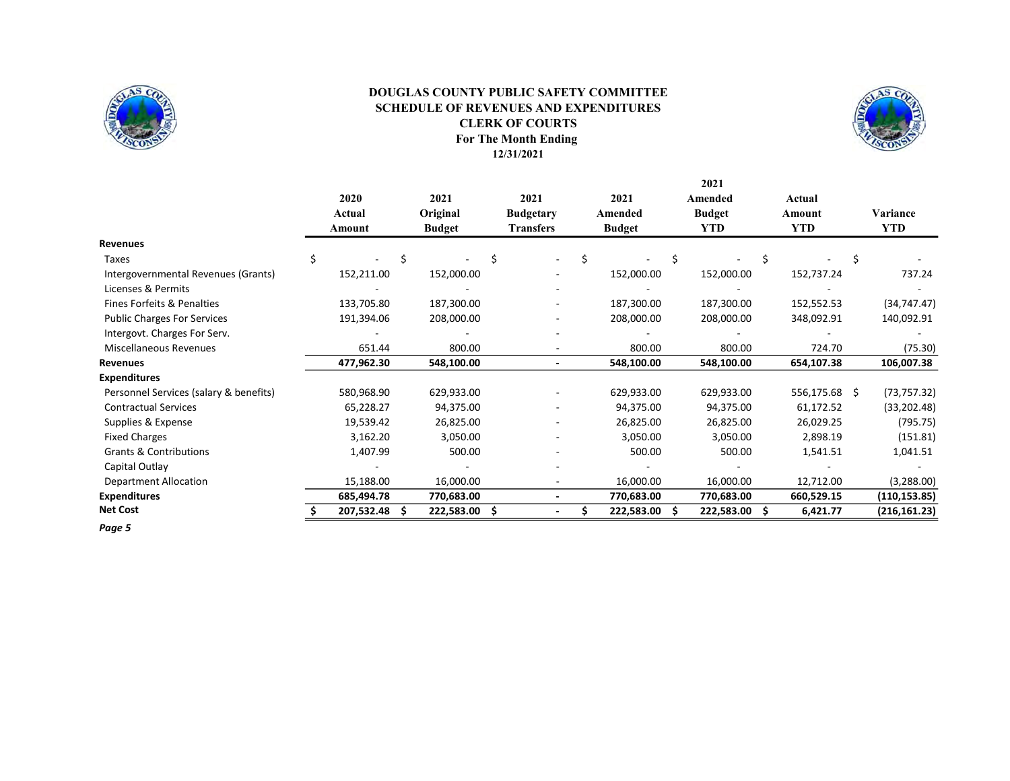

### For The Month Ending 12/31/2021 DOUGLAS COUNTY PUBLIC SAFETY COMMITTEE SCHEDULE OF REVENUES AND EXPENDITURES CLERK OF COURTS



2021

|                                        | 2020<br>Actual | 2021<br>Original | 2021<br><b>Budgetary</b> | 2021<br>Amended | Amended<br><b>Budget</b> | Actual<br>Amount | Variance      |
|----------------------------------------|----------------|------------------|--------------------------|-----------------|--------------------------|------------------|---------------|
|                                        | Amount         | <b>Budget</b>    | <b>Transfers</b>         | <b>Budget</b>   | YTD-                     | <b>YTD</b>       | <b>YTD</b>    |
| <b>Revenues</b>                        |                |                  |                          |                 |                          |                  |               |
| Taxes                                  | \$             |                  |                          |                 |                          |                  |               |
| Intergovernmental Revenues (Grants)    | 152,211.00     | 152,000.00       |                          | 152,000.00      | 152,000.00               | 152,737.24       | 737.24        |
| Licenses & Permits                     |                |                  |                          |                 |                          |                  |               |
| Fines Forfeits & Penalties             | 133,705.80     | 187,300.00       |                          | 187,300.00      | 187,300.00               | 152,552.53       | (34, 747.47)  |
| <b>Public Charges For Services</b>     | 191,394.06     | 208,000.00       |                          | 208,000.00      | 208,000.00               | 348,092.91       | 140,092.91    |
| Intergovt. Charges For Serv.           |                |                  |                          |                 |                          |                  |               |
| <b>Miscellaneous Revenues</b>          | 651.44         | 800.00           |                          | 800.00          | 800.00                   | 724.70           | (75.30)       |
| Revenues                               | 477,962.30     | 548,100.00       |                          | 548,100.00      | 548,100.00               | 654,107.38       | 106,007.38    |
| <b>Expenditures</b>                    |                |                  |                          |                 |                          |                  |               |
| Personnel Services (salary & benefits) | 580,968.90     | 629,933.00       |                          | 629,933.00      | 629,933.00               | 556,175.68 \$    | (73, 757.32)  |
| <b>Contractual Services</b>            | 65,228.27      | 94,375.00        |                          | 94,375.00       | 94,375.00                | 61,172.52        | (33, 202.48)  |
| Supplies & Expense                     | 19,539.42      | 26,825.00        |                          | 26,825.00       | 26,825.00                | 26,029.25        | (795.75)      |
| <b>Fixed Charges</b>                   | 3,162.20       | 3,050.00         |                          | 3,050.00        | 3,050.00                 | 2,898.19         | (151.81)      |
| <b>Grants &amp; Contributions</b>      | 1,407.99       | 500.00           |                          | 500.00          | 500.00                   | 1,541.51         | 1,041.51      |
| Capital Outlay                         |                |                  |                          |                 |                          |                  |               |
| <b>Department Allocation</b>           | 15,188.00      | 16,000.00        |                          | 16,000.00       | 16,000.00                | 12,712.00        | (3,288.00)    |
| <b>Expenditures</b>                    | 685,494.78     | 770,683.00       |                          | 770,683.00      | 770,683.00               | 660,529.15       | (110, 153.85) |
| <b>Net Cost</b>                        | 207,532.48     | 222,583.00       |                          | 222,583.00      | 222,583.00               | 6,421.77<br>S    | (216, 161.23) |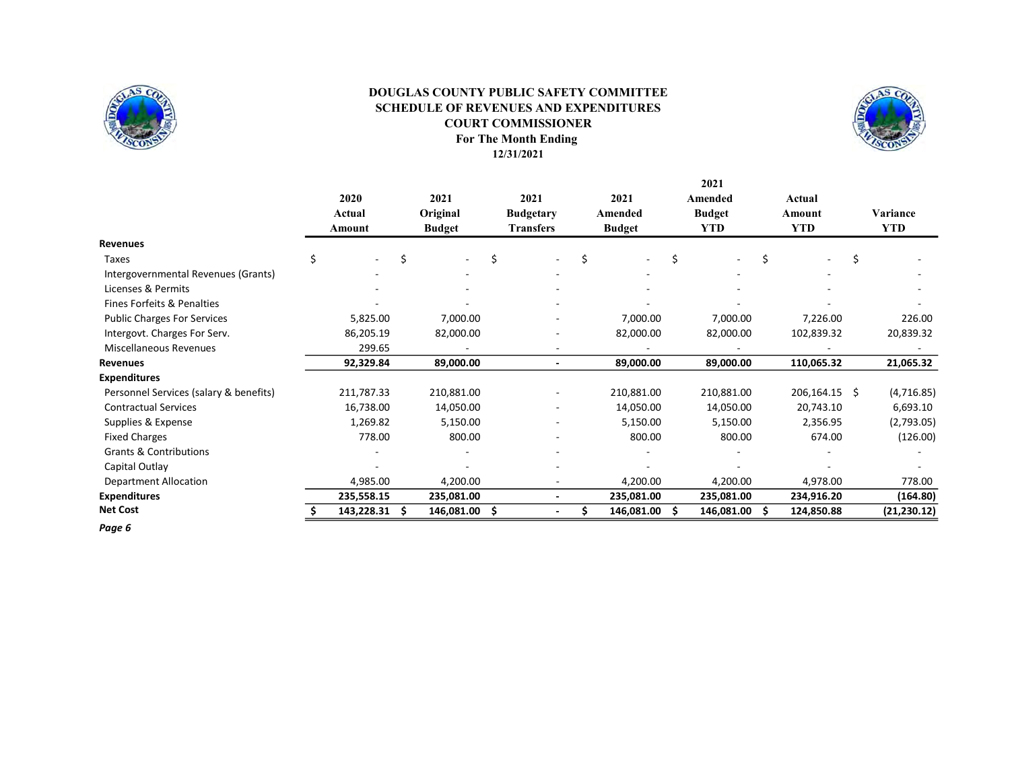

### For The Month Ending 12/31/2021 DOUGLAS COUNTY PUBLIC SAFETY COMMITTEE SCHEDULE OF REVENUES AND EXPENDITURES COURT COMMISSIONER



2021

|                                        | 2020<br>Actual | 2021<br>Original | 2021<br><b>Budgetary</b> | 2021<br>Amended | Amended<br><b>Budget</b> | Actual<br>Amount | Variance     |
|----------------------------------------|----------------|------------------|--------------------------|-----------------|--------------------------|------------------|--------------|
|                                        | Amount         | <b>Budget</b>    | <b>Transfers</b>         | <b>Budget</b>   | <b>YTD</b>               | <b>YTD</b>       | <b>YTD</b>   |
| <b>Revenues</b>                        |                |                  |                          |                 |                          |                  |              |
| Taxes                                  | \$<br>$\sim$   | Ś<br>$\sim$      | Ś<br>۰.                  | Ś               | Ś                        |                  |              |
| Intergovernmental Revenues (Grants)    |                |                  |                          |                 |                          |                  |              |
| Licenses & Permits                     |                |                  |                          |                 |                          |                  |              |
| Fines Forfeits & Penalties             |                |                  |                          |                 |                          |                  |              |
| <b>Public Charges For Services</b>     | 5,825.00       | 7,000.00         |                          | 7,000.00        | 7,000.00                 | 7,226.00         | 226.00       |
| Intergovt. Charges For Serv.           | 86,205.19      | 82,000.00        |                          | 82,000.00       | 82,000.00                | 102,839.32       | 20,839.32    |
| <b>Miscellaneous Revenues</b>          | 299.65         |                  |                          |                 |                          |                  |              |
| Revenues                               | 92,329.84      | 89,000.00        |                          | 89,000.00       | 89,000.00                | 110,065.32       | 21,065.32    |
| <b>Expenditures</b>                    |                |                  |                          |                 |                          |                  |              |
| Personnel Services (salary & benefits) | 211,787.33     | 210,881.00       |                          | 210,881.00      | 210,881.00               | 206,164.15 \$    | (4,716.85)   |
| <b>Contractual Services</b>            | 16,738.00      | 14,050.00        |                          | 14,050.00       | 14,050.00                | 20,743.10        | 6,693.10     |
| Supplies & Expense                     | 1,269.82       | 5,150.00         |                          | 5,150.00        | 5,150.00                 | 2,356.95         | (2,793.05)   |
| <b>Fixed Charges</b>                   | 778.00         | 800.00           |                          | 800.00          | 800.00                   | 674.00           | (126.00)     |
| Grants & Contributions                 |                |                  |                          |                 |                          |                  |              |
| Capital Outlay                         |                |                  |                          |                 |                          |                  |              |
| <b>Department Allocation</b>           | 4,985.00       | 4,200.00         |                          | 4,200.00        | 4,200.00                 | 4,978.00         | 778.00       |
| <b>Expenditures</b>                    | 235,558.15     | 235,081.00       |                          | 235,081.00      | 235,081.00               | 234,916.20       | (164.80)     |
| <b>Net Cost</b>                        | 143,228.31     | 146,081.00       | S                        | 146,081.00      | 146,081.00<br>S          | 124,850.88<br>s  | (21, 230.12) |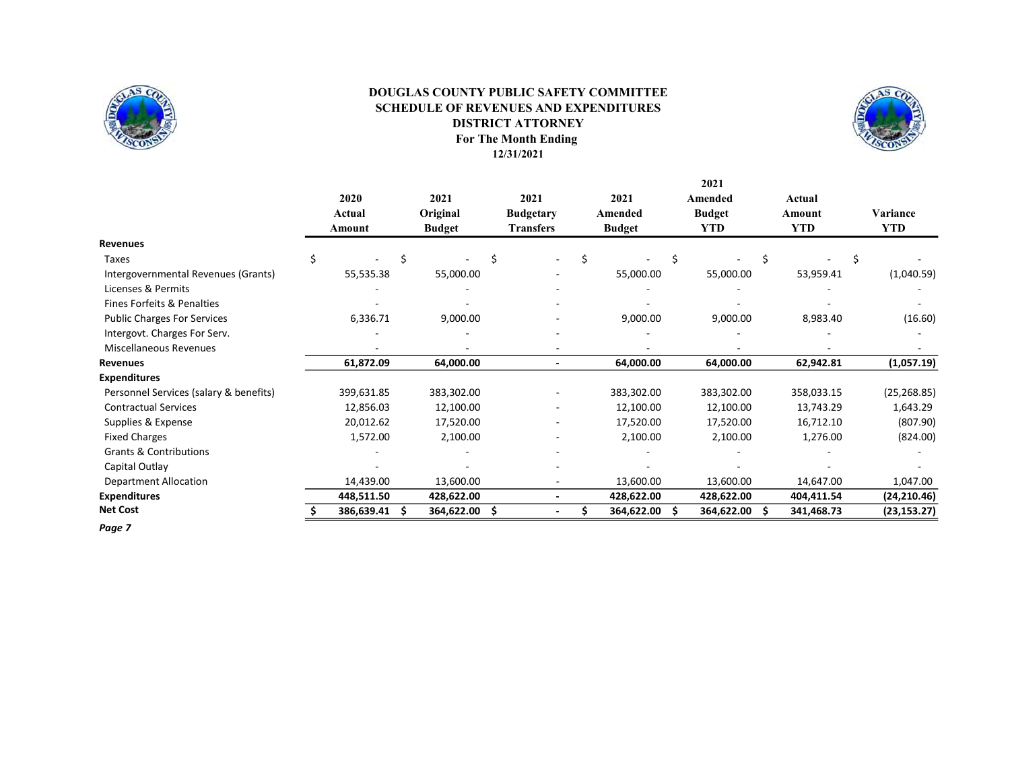

### For The Month Ending 12/31/2021 DOUGLAS COUNTY PUBLIC SAFETY COMMITTEE SCHEDULE OF REVENUES AND EXPENDITURES DISTRICT ATTORNEY



|                                        |   |            |   |               |   |                  |   |               | 2021          |    |            |   |              |
|----------------------------------------|---|------------|---|---------------|---|------------------|---|---------------|---------------|----|------------|---|--------------|
|                                        |   | 2020       |   | 2021          |   | 2021             |   | 2021          | Amended       |    | Actual     |   |              |
|                                        |   | Actual     |   | Original      |   | <b>Budgetary</b> |   | Amended       | <b>Budget</b> |    | Amount     |   | Variance     |
|                                        |   | Amount     |   | <b>Budget</b> |   | <b>Transfers</b> |   | <b>Budget</b> | <b>YTD</b>    |    | <b>YTD</b> |   | <b>YTD</b>   |
| Revenues                               |   |            |   |               |   |                  |   |               |               |    |            |   |              |
| Taxes                                  | Ś |            | Ś |               | Ś |                  | Ś |               |               | Ś  |            | Ś |              |
| Intergovernmental Revenues (Grants)    |   | 55,535.38  |   | 55,000.00     |   |                  |   | 55,000.00     | 55,000.00     |    | 53,959.41  |   | (1,040.59)   |
| Licenses & Permits                     |   |            |   |               |   |                  |   |               |               |    |            |   |              |
| Fines Forfeits & Penalties             |   |            |   |               |   |                  |   |               |               |    |            |   |              |
| <b>Public Charges For Services</b>     |   | 6,336.71   |   | 9,000.00      |   |                  |   | 9,000.00      | 9,000.00      |    | 8,983.40   |   | (16.60)      |
| Intergovt. Charges For Serv.           |   |            |   |               |   |                  |   |               |               |    |            |   |              |
| <b>Miscellaneous Revenues</b>          |   |            |   |               |   |                  |   |               |               |    |            |   |              |
| Revenues                               |   | 61,872.09  |   | 64,000.00     |   |                  |   | 64,000.00     | 64,000.00     |    | 62,942.81  |   | (1,057.19)   |
| <b>Expenditures</b>                    |   |            |   |               |   |                  |   |               |               |    |            |   |              |
| Personnel Services (salary & benefits) |   | 399,631.85 |   | 383,302.00    |   |                  |   | 383,302.00    | 383,302.00    |    | 358,033.15 |   | (25, 268.85) |
| <b>Contractual Services</b>            |   | 12,856.03  |   | 12,100.00     |   |                  |   | 12,100.00     | 12,100.00     |    | 13,743.29  |   | 1,643.29     |
| Supplies & Expense                     |   | 20,012.62  |   | 17,520.00     |   |                  |   | 17,520.00     | 17,520.00     |    | 16,712.10  |   | (807.90)     |
| <b>Fixed Charges</b>                   |   | 1,572.00   |   | 2,100.00      |   |                  |   | 2,100.00      | 2,100.00      |    | 1,276.00   |   | (824.00)     |
| <b>Grants &amp; Contributions</b>      |   |            |   |               |   |                  |   |               |               |    |            |   |              |
| Capital Outlay                         |   |            |   |               |   |                  |   |               |               |    |            |   |              |
| <b>Department Allocation</b>           |   | 14,439.00  |   | 13,600.00     |   |                  |   | 13,600.00     | 13,600.00     |    | 14,647.00  |   | 1,047.00     |
| <b>Expenditures</b>                    |   | 448,511.50 |   | 428,622.00    |   |                  |   | 428,622.00    | 428,622.00    |    | 404,411.54 |   | (24, 210.46) |
| <b>Net Cost</b>                        |   | 386,639.41 |   | 364,622.00    | S |                  |   | 364,622.00    | 364,622.00    | .s | 341,468.73 |   | (23, 153.27) |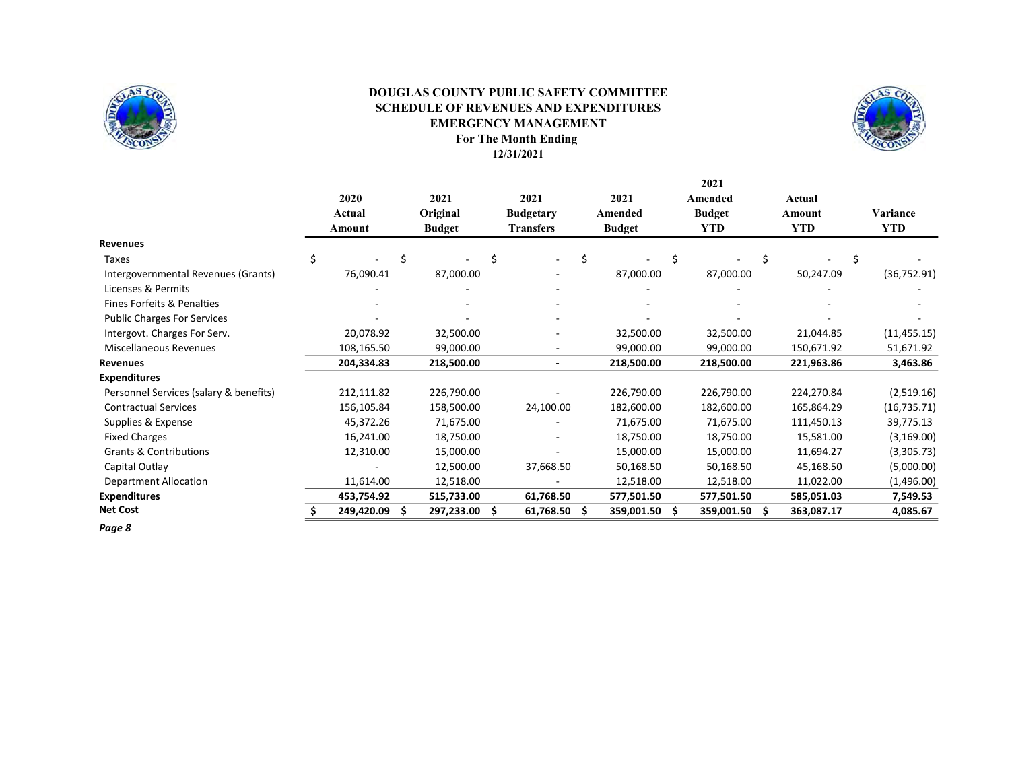

### For The Month Ending DOUGLAS COUNTY PUBLIC SAFETY COMMITTEE SCHEDULE OF REVENUES AND EXPENDITURES EMERGENCY MANAGEMENT



12/31/2021

|                                        |   | 2020<br>Actual |   | 2021<br>Original |   | 2021<br><b>Budgetary</b> |   | 2021<br>Amended |    | 2021<br>Amended<br><b>Budget</b> |    | Actual<br>Amount | Variance     |
|----------------------------------------|---|----------------|---|------------------|---|--------------------------|---|-----------------|----|----------------------------------|----|------------------|--------------|
|                                        |   | Amount         |   | <b>Budget</b>    |   | <b>Transfers</b>         |   | <b>Budget</b>   |    | <b>YTD</b>                       |    | <b>YTD</b>       | YTD          |
| <b>Revenues</b>                        |   |                |   |                  |   |                          |   |                 |    |                                  |    |                  |              |
| Taxes                                  | Ś |                | Ś |                  | Ś |                          | Ś |                 | \$ |                                  | Ś. |                  | \$           |
| Intergovernmental Revenues (Grants)    |   | 76,090.41      |   | 87,000.00        |   |                          |   | 87,000.00       |    | 87,000.00                        |    | 50,247.09        | (36, 752.91) |
| Licenses & Permits                     |   |                |   |                  |   |                          |   |                 |    |                                  |    |                  |              |
| Fines Forfeits & Penalties             |   |                |   |                  |   |                          |   |                 |    |                                  |    |                  |              |
| <b>Public Charges For Services</b>     |   |                |   |                  |   |                          |   |                 |    |                                  |    |                  |              |
| Intergovt. Charges For Serv.           |   | 20,078.92      |   | 32,500.00        |   |                          |   | 32,500.00       |    | 32,500.00                        |    | 21,044.85        | (11, 455.15) |
| <b>Miscellaneous Revenues</b>          |   | 108,165.50     |   | 99,000.00        |   |                          |   | 99,000.00       |    | 99,000.00                        |    | 150,671.92       | 51,671.92    |
| Revenues                               |   | 204,334.83     |   | 218,500.00       |   |                          |   | 218,500.00      |    | 218,500.00                       |    | 221,963.86       | 3,463.86     |
| <b>Expenditures</b>                    |   |                |   |                  |   |                          |   |                 |    |                                  |    |                  |              |
| Personnel Services (salary & benefits) |   | 212,111.82     |   | 226,790.00       |   |                          |   | 226,790.00      |    | 226,790.00                       |    | 224,270.84       | (2,519.16)   |
| <b>Contractual Services</b>            |   | 156,105.84     |   | 158,500.00       |   | 24,100.00                |   | 182,600.00      |    | 182,600.00                       |    | 165,864.29       | (16, 735.71) |
| Supplies & Expense                     |   | 45,372.26      |   | 71,675.00        |   |                          |   | 71,675.00       |    | 71,675.00                        |    | 111,450.13       | 39,775.13    |
| <b>Fixed Charges</b>                   |   | 16,241.00      |   | 18,750.00        |   |                          |   | 18,750.00       |    | 18,750.00                        |    | 15,581.00        | (3, 169.00)  |
| <b>Grants &amp; Contributions</b>      |   | 12,310.00      |   | 15,000.00        |   |                          |   | 15,000.00       |    | 15,000.00                        |    | 11,694.27        | (3,305.73)   |
| Capital Outlay                         |   |                |   | 12,500.00        |   | 37,668.50                |   | 50,168.50       |    | 50,168.50                        |    | 45,168.50        | (5,000.00)   |
| <b>Department Allocation</b>           |   | 11,614.00      |   | 12,518.00        |   |                          |   | 12,518.00       |    | 12,518.00                        |    | 11,022.00        | (1,496.00)   |
| <b>Expenditures</b>                    |   | 453,754.92     |   | 515,733.00       |   | 61,768.50                |   | 577,501.50      |    | 577,501.50                       |    | 585,051.03       | 7,549.53     |
| <b>Net Cost</b>                        |   | 249,420.09     |   | 297,233.00       | S | 61,768.50                | S | 359,001.50      | -S | 359,001.50                       | S  | 363,087.17       | 4,085.67     |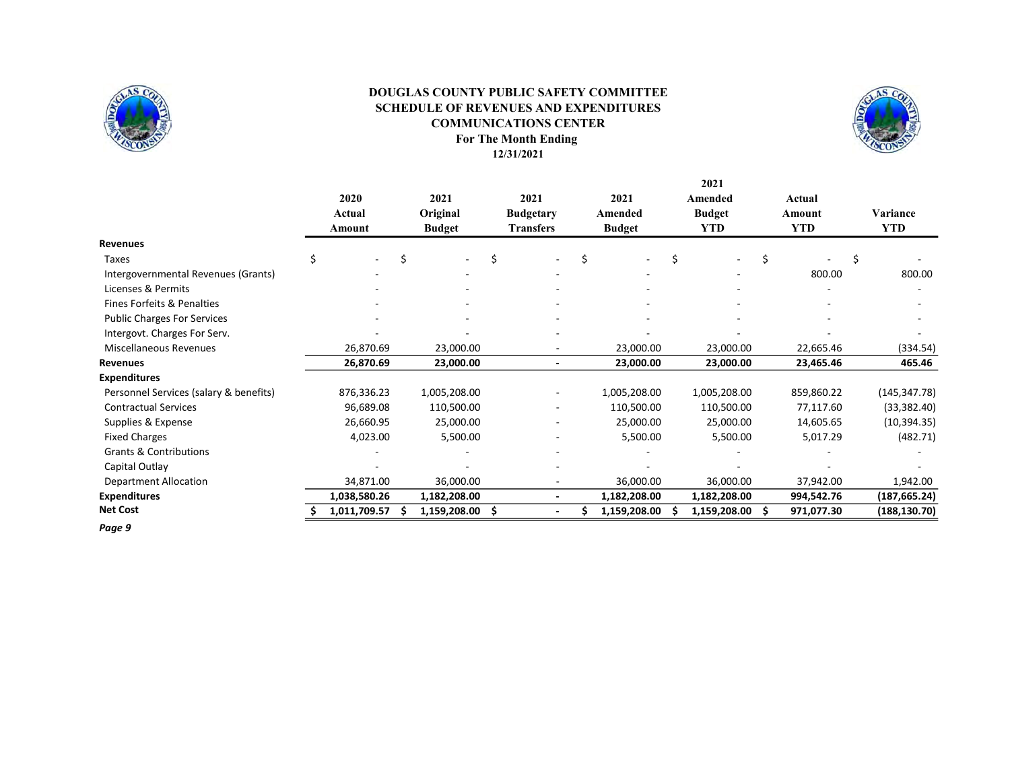

#### For The Month Ending DOUGLAS COUNTY PUBLIC SAFETY COMMITTEE SCHEDULE OF REVENUES AND EXPENDITURES COMMUNICATIONS CENTER

12/31/2021



2021 2020 2021 2021 2021 Amended Actual Actual Original Budgetary Amended Budget Amount Variance Amount Budget Transfers Budget YTD YTD YTD Revenues Taxes \$ - \$ - \$ - \$ - \$ - \$ - \$ - Intergovernmental Revenues (Grants) **Fig. 200.00** Contract Contract Contract Contract Contract Contract Contract Contract Contract Contract Contract Contract Contract Contract Contract Contract Contract Contract Contract C Licenses & Permits **All and All and All and All and All and All and All and All and All and All and All and All a** Fines Forfeits & Penalties Public Charges For Services Intergovt. Charges For Serv. Miscellaneous Revenues 26,870.69 23,000.00 - 23,000.00 23,000.00 22,665.46 (334.54) Revenues 26,870.69 23,000.00 - 23,000.00 23,000.00 23,465.46 465.46 Expenditures Personnel Services (salary & benefits) 876,336.23 1,005,208.00 - 1,005,208.00 1,005,208.00 859,860.22 (145,347.78) Contractual Services 96,689.08 110,500.00 - 110,500.00 110,500.00 77,117.60 (33,382.40) Supplies & Expense 26,000.95 26,660.95 25,000.00 - 25,000.00 25,000.00 25,000.00 25,000.00 14,605.65 (10,394.35) Fixed Charges 2,023.00 4,023.00 5,500.00 5,500.00 5,500.00 5,500.00 5,500.00 5,017.29 (482.71) Grants & Contributions and the second contributions of the second contributions of the second contributions of the second contributions of the second contributions of the second contributions of the second contributions of Capital Outlay and the set of the set of the set of the set of the set of the set of the set of the set of the set of the set of the set of the set of the set of the set of the set of the set of the set of the set of the s Department Allocation 34,871.00 36,000.00 - 36,000.00 36,000.00 37,942.00 1,942.00 Expenditures 1,038,580.26 1,182,208.00 - 1,182,208.00 1,182,208.00 994,542.76 (187,665.24) Net Cost 6.01 5 1,011,709.57 \$ 1,159,208.00 \$ - \$ 1,159,208.00 \$ 1,159,208.00 \$ 971,077.30 (188,130.70)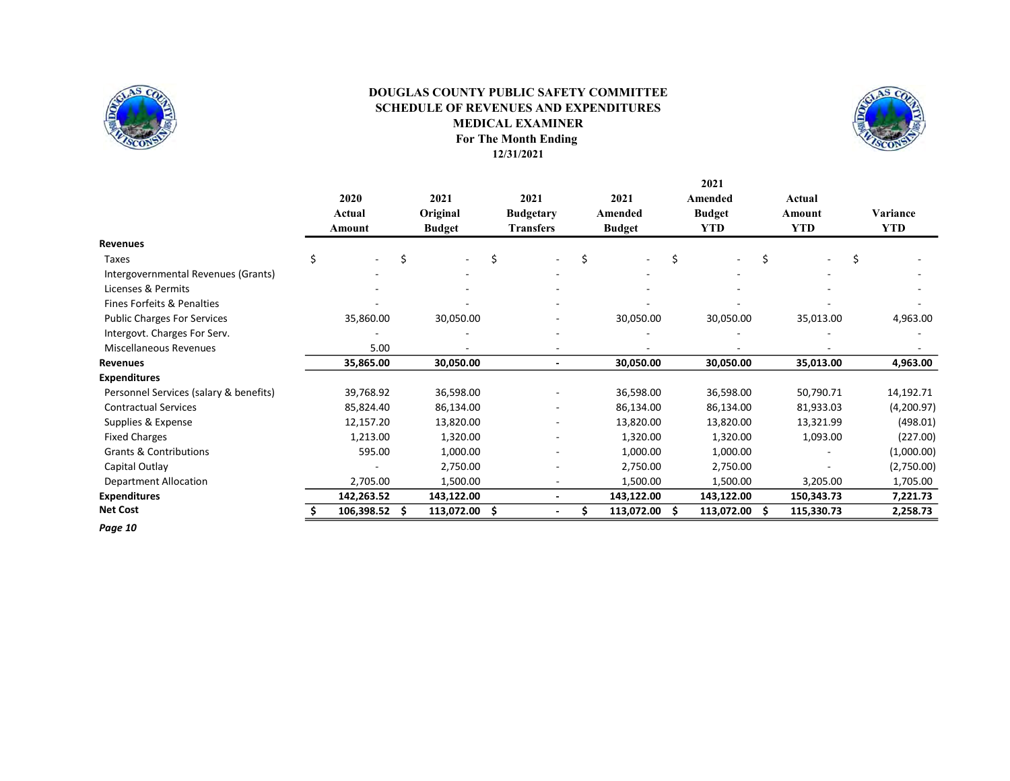

### For The Month Ending 12/31/2021 SCHEDULE OF REVENUES AND EXPENDITURES MEDICAL EXAMINER DOUGLAS COUNTY PUBLIC SAFETY COMMITTEE



2021

|                                        | 2020<br>Actual |   | 2021<br>Original |   | 2021<br><b>Budgetary</b> | 2021<br>Amended |   | Amended<br><b>Budget</b> |    | Actual<br>Amount | Variance   |
|----------------------------------------|----------------|---|------------------|---|--------------------------|-----------------|---|--------------------------|----|------------------|------------|
|                                        | Amount         |   | <b>Budget</b>    |   | <b>Transfers</b>         | <b>Budget</b>   |   | <b>YTD</b>               |    | <b>YTD</b>       | <b>YTD</b> |
| <b>Revenues</b>                        |                |   |                  |   |                          |                 |   |                          |    |                  |            |
| Taxes                                  | \$<br>$\sim$   | Ś | Ξ.               | Ś | $\sim$                   | \$              | Ś |                          | Ś  | Ś                |            |
| Intergovernmental Revenues (Grants)    |                |   |                  |   |                          |                 |   |                          |    |                  |            |
| Licenses & Permits                     |                |   |                  |   |                          |                 |   |                          |    |                  |            |
| Fines Forfeits & Penalties             |                |   |                  |   |                          |                 |   |                          |    |                  |            |
| <b>Public Charges For Services</b>     | 35,860.00      |   | 30,050.00        |   |                          | 30,050.00       |   | 30,050.00                |    | 35,013.00        | 4,963.00   |
| Intergovt. Charges For Serv.           |                |   |                  |   |                          |                 |   |                          |    |                  |            |
| <b>Miscellaneous Revenues</b>          | 5.00           |   |                  |   |                          |                 |   |                          |    |                  |            |
| Revenues                               | 35,865.00      |   | 30,050.00        |   |                          | 30,050.00       |   | 30,050.00                |    | 35,013.00        | 4,963.00   |
| <b>Expenditures</b>                    |                |   |                  |   |                          |                 |   |                          |    |                  |            |
| Personnel Services (salary & benefits) | 39,768.92      |   | 36,598.00        |   |                          | 36,598.00       |   | 36,598.00                |    | 50,790.71        | 14,192.71  |
| <b>Contractual Services</b>            | 85,824.40      |   | 86,134.00        |   |                          | 86,134.00       |   | 86,134.00                |    | 81,933.03        | (4,200.97) |
| Supplies & Expense                     | 12,157.20      |   | 13,820.00        |   |                          | 13,820.00       |   | 13,820.00                |    | 13,321.99        | (498.01)   |
| <b>Fixed Charges</b>                   | 1,213.00       |   | 1,320.00         |   |                          | 1,320.00        |   | 1,320.00                 |    | 1,093.00         | (227.00)   |
| <b>Grants &amp; Contributions</b>      | 595.00         |   | 1,000.00         |   |                          | 1,000.00        |   | 1,000.00                 |    |                  | (1,000.00) |
| Capital Outlay                         |                |   | 2,750.00         |   |                          | 2,750.00        |   | 2,750.00                 |    |                  | (2,750.00) |
| <b>Department Allocation</b>           | 2,705.00       |   | 1,500.00         |   |                          | 1,500.00        |   | 1,500.00                 |    | 3,205.00         | 1,705.00   |
| <b>Expenditures</b>                    | 142,263.52     |   | 143,122.00       |   |                          | 143,122.00      |   | 143,122.00               |    | 150,343.73       | 7,221.73   |
| <b>Net Cost</b>                        | 106,398.52     |   | 113,072.00       |   |                          | 113,072.00      |   | 113,072.00               | .s | 115,330.73       | 2,258.73   |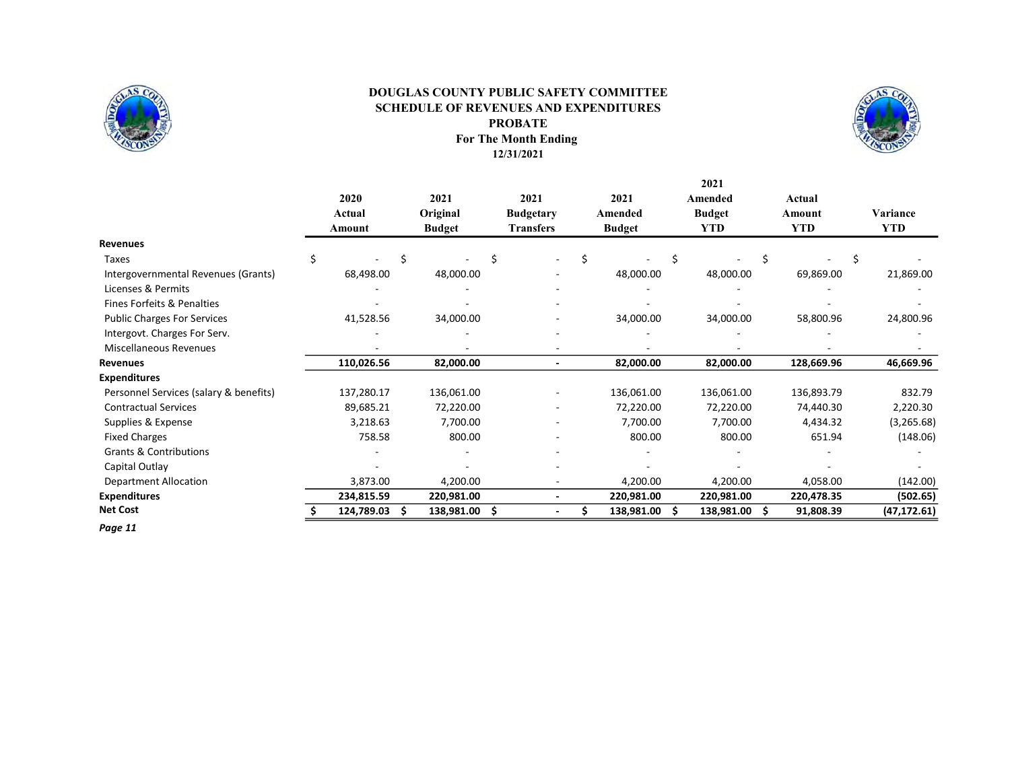

### For The Month Ending 12/31/2021 SCHEDULE OF REVENUES AND EXPENDITURES PROBATE DOUGLAS COUNTY PUBLIC SAFETY COMMITTEE



2021

|                                        | 2020<br>Actual<br>Amount | 2021<br>Original<br><b>Budget</b> | 2021<br><b>Budgetary</b><br><b>Transfers</b> | 2021<br>Amended<br><b>Budget</b> | Amended<br><b>Budget</b><br><b>YTD</b> | Actual<br>Amount<br><b>YTD</b> | Variance<br><b>YTD</b> |
|----------------------------------------|--------------------------|-----------------------------------|----------------------------------------------|----------------------------------|----------------------------------------|--------------------------------|------------------------|
| Revenues                               |                          |                                   |                                              |                                  |                                        |                                |                        |
| Taxes                                  | Ś                        |                                   |                                              |                                  |                                        |                                |                        |
| Intergovernmental Revenues (Grants)    | 68,498.00                | 48,000.00                         |                                              | 48,000.00                        | 48,000.00                              | 69,869.00                      | 21,869.00              |
| Licenses & Permits                     |                          |                                   |                                              |                                  |                                        |                                |                        |
| Fines Forfeits & Penalties             |                          |                                   |                                              |                                  |                                        |                                |                        |
| <b>Public Charges For Services</b>     | 41,528.56                | 34,000.00                         |                                              | 34,000.00                        | 34,000.00                              | 58,800.96                      | 24,800.96              |
| Intergovt. Charges For Serv.           |                          |                                   |                                              |                                  |                                        |                                |                        |
| <b>Miscellaneous Revenues</b>          |                          |                                   |                                              |                                  |                                        |                                |                        |
| Revenues                               | 110,026.56               | 82,000.00                         |                                              | 82,000.00                        | 82,000.00                              | 128,669.96                     | 46,669.96              |
| <b>Expenditures</b>                    |                          |                                   |                                              |                                  |                                        |                                |                        |
| Personnel Services (salary & benefits) | 137,280.17               | 136,061.00                        |                                              | 136,061.00                       | 136,061.00                             | 136,893.79                     | 832.79                 |
| <b>Contractual Services</b>            | 89,685.21                | 72,220.00                         |                                              | 72,220.00                        | 72,220.00                              | 74,440.30                      | 2,220.30               |
| Supplies & Expense                     | 3,218.63                 | 7,700.00                          |                                              | 7,700.00                         | 7,700.00                               | 4,434.32                       | (3,265.68)             |
| <b>Fixed Charges</b>                   | 758.58                   | 800.00                            |                                              | 800.00                           | 800.00                                 | 651.94                         | (148.06)               |
| <b>Grants &amp; Contributions</b>      |                          |                                   |                                              |                                  |                                        |                                |                        |
| Capital Outlay                         |                          |                                   |                                              |                                  |                                        |                                |                        |
| <b>Department Allocation</b>           | 3,873.00                 | 4,200.00                          |                                              | 4,200.00                         | 4,200.00                               | 4,058.00                       | (142.00)               |
| <b>Expenditures</b>                    | 234,815.59               | 220,981.00                        |                                              | 220,981.00                       | 220,981.00                             | 220,478.35                     | (502.65)               |
| <b>Net Cost</b>                        | 124,789.03               | 138,981.00                        | \$                                           | 138,981.00                       | Ŝ<br>138,981.00                        | Ŝ<br>91,808.39                 | (47, 172.61)           |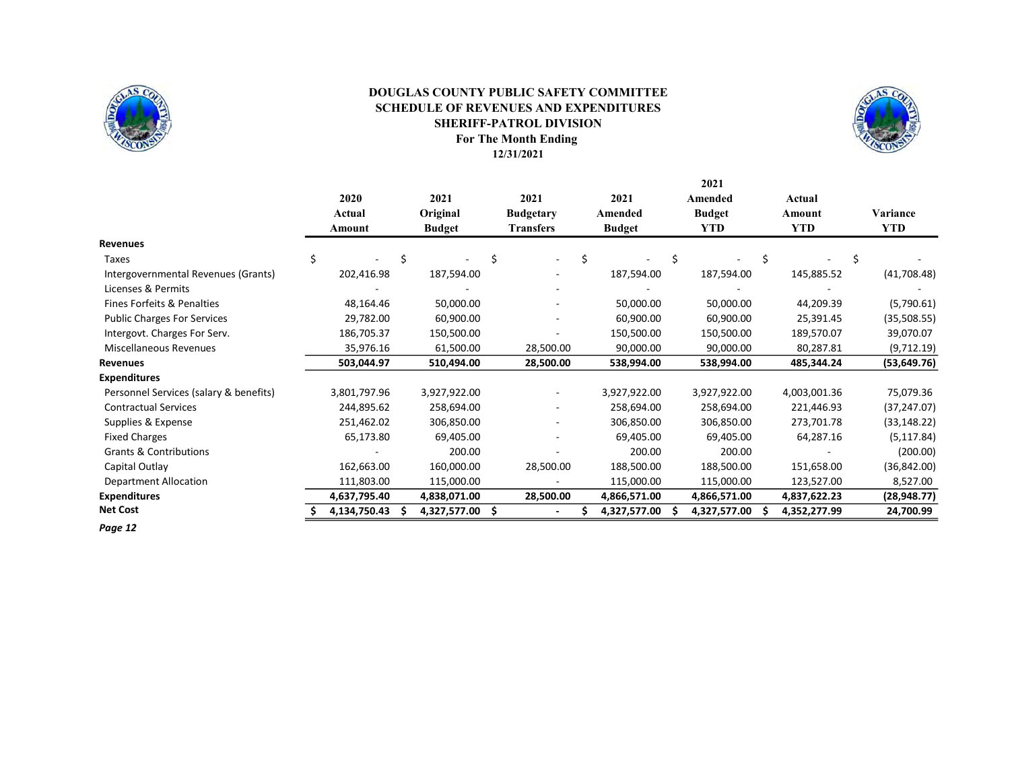

### For The Month Ending DOUGLAS COUNTY PUBLIC SAFETY COMMITTEE SCHEDULE OF REVENUES AND EXPENDITURES SHERIFF-PATROL DIVISION

12/31/2021



2021

|                                        | 2020<br>Actual<br>Amount | 2021<br>Original<br><b>Budget</b> | 2021<br><b>Budgetary</b><br><b>Transfers</b> | 2021<br>Amended<br><b>Budget</b> | Amended<br><b>Budget</b><br><b>YTD</b> | Actual<br>Amount<br><b>YTD</b> | Variance<br>YTD |
|----------------------------------------|--------------------------|-----------------------------------|----------------------------------------------|----------------------------------|----------------------------------------|--------------------------------|-----------------|
| <b>Revenues</b>                        |                          |                                   |                                              |                                  |                                        |                                |                 |
| Taxes                                  | Ś                        |                                   |                                              |                                  |                                        |                                |                 |
| Intergovernmental Revenues (Grants)    | 202,416.98               | 187,594.00                        |                                              | 187,594.00                       | 187,594.00                             | 145,885.52                     | (41,708.48)     |
| Licenses & Permits                     |                          |                                   |                                              |                                  |                                        |                                |                 |
| Fines Forfeits & Penalties             | 48,164.46                | 50,000.00                         |                                              | 50,000.00                        | 50,000.00                              | 44,209.39                      | (5,790.61)      |
| <b>Public Charges For Services</b>     | 29,782.00                | 60,900.00                         |                                              | 60,900.00                        | 60,900.00                              | 25,391.45                      | (35,508.55)     |
| Intergovt. Charges For Serv.           | 186,705.37               | 150,500.00                        |                                              | 150,500.00                       | 150,500.00                             | 189,570.07                     | 39,070.07       |
| Miscellaneous Revenues                 | 35,976.16                | 61,500.00                         | 28,500.00                                    | 90,000.00                        | 90,000.00                              | 80,287.81                      | (9,712.19)      |
| Revenues                               | 503,044.97               | 510,494.00                        | 28,500.00                                    | 538,994.00                       | 538,994.00                             | 485,344.24                     | (53, 649.76)    |
| <b>Expenditures</b>                    |                          |                                   |                                              |                                  |                                        |                                |                 |
| Personnel Services (salary & benefits) | 3,801,797.96             | 3,927,922.00                      |                                              | 3,927,922.00                     | 3,927,922.00                           | 4,003,001.36                   | 75,079.36       |
| <b>Contractual Services</b>            | 244,895.62               | 258,694.00                        |                                              | 258,694.00                       | 258,694.00                             | 221,446.93                     | (37, 247.07)    |
| Supplies & Expense                     | 251,462.02               | 306,850.00                        |                                              | 306,850.00                       | 306,850.00                             | 273,701.78                     | (33, 148.22)    |
| <b>Fixed Charges</b>                   | 65,173.80                | 69,405.00                         |                                              | 69,405.00                        | 69,405.00                              | 64,287.16                      | (5, 117.84)     |
| <b>Grants &amp; Contributions</b>      |                          | 200.00                            |                                              | 200.00                           | 200.00                                 |                                | (200.00)        |
| Capital Outlay                         | 162,663.00               | 160,000.00                        | 28,500.00                                    | 188,500.00                       | 188,500.00                             | 151,658.00                     | (36, 842.00)    |
| <b>Department Allocation</b>           | 111,803.00               | 115,000.00                        |                                              | 115,000.00                       | 115,000.00                             | 123,527.00                     | 8,527.00        |
| <b>Expenditures</b>                    | 4,637,795.40             | 4,838,071.00                      | 28,500.00                                    | 4,866,571.00                     | 4,866,571.00                           | 4,837,622.23                   | (28, 948.77)    |
| <b>Net Cost</b>                        | 4,134,750.43             | 4,327,577.00                      | S                                            | 4,327,577.00                     | 4,327,577.00                           | 4,352,277.99                   | 24,700.99       |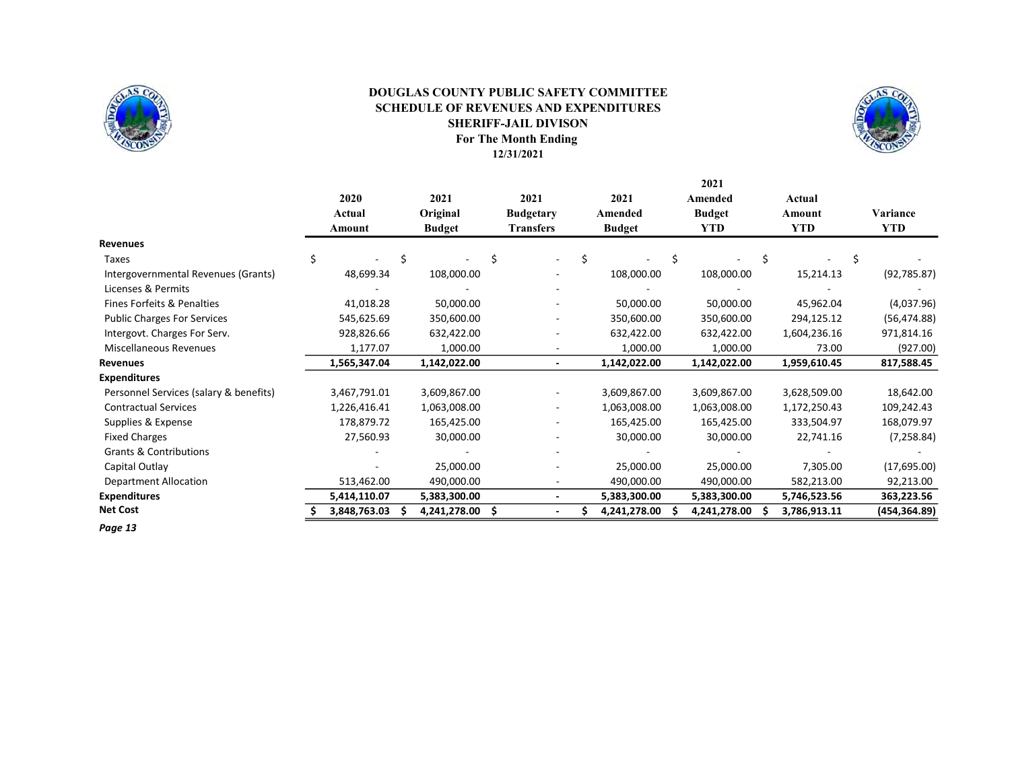

### For The Month Ending 12/31/2021 SHERIFF-JAIL DIVISON DOUGLAS COUNTY PUBLIC SAFETY COMMITTEE SCHEDULE OF REVENUES AND EXPENDITURES



2021

|                                        | 2020<br>Actual<br>Amount | 2021<br>Original<br><b>Budget</b> | 2021<br><b>Budgetary</b><br><b>Transfers</b> | 2021<br>Amended<br><b>Budget</b> | Amended<br><b>Budget</b><br><b>YTD</b> | Actual<br>Amount<br><b>YTD</b> | Variance<br><b>YTD</b> |
|----------------------------------------|--------------------------|-----------------------------------|----------------------------------------------|----------------------------------|----------------------------------------|--------------------------------|------------------------|
| <b>Revenues</b>                        |                          |                                   |                                              |                                  |                                        |                                |                        |
| Taxes                                  |                          |                                   |                                              | Ś                                |                                        | Ś                              |                        |
| Intergovernmental Revenues (Grants)    | 48,699.34                | 108,000.00                        |                                              | 108,000.00                       | 108,000.00                             | 15,214.13                      | (92, 785.87)           |
| Licenses & Permits                     |                          |                                   |                                              |                                  |                                        |                                |                        |
| Fines Forfeits & Penalties             | 41,018.28                | 50,000.00                         |                                              | 50,000.00                        | 50,000.00                              | 45,962.04                      | (4,037.96)             |
| <b>Public Charges For Services</b>     | 545,625.69               | 350,600.00                        |                                              | 350,600.00                       | 350,600.00                             | 294,125.12                     | (56, 474.88)           |
| Intergovt. Charges For Serv.           | 928,826.66               | 632,422.00                        |                                              | 632,422.00                       | 632,422.00                             | 1,604,236.16                   | 971,814.16             |
| Miscellaneous Revenues                 | 1,177.07                 | 1,000.00                          |                                              | 1,000.00                         | 1,000.00                               | 73.00                          | (927.00)               |
| <b>Revenues</b>                        | 1,565,347.04             | 1,142,022.00                      |                                              | 1,142,022.00                     | 1,142,022.00                           | 1,959,610.45                   | 817,588.45             |
| <b>Expenditures</b>                    |                          |                                   |                                              |                                  |                                        |                                |                        |
| Personnel Services (salary & benefits) | 3,467,791.01             | 3,609,867.00                      |                                              | 3,609,867.00                     | 3,609,867.00                           | 3,628,509.00                   | 18,642.00              |
| <b>Contractual Services</b>            | 1,226,416.41             | 1,063,008.00                      |                                              | 1,063,008.00                     | 1,063,008.00                           | 1,172,250.43                   | 109,242.43             |
| Supplies & Expense                     | 178,879.72               | 165,425.00                        |                                              | 165,425.00                       | 165,425.00                             | 333,504.97                     | 168,079.97             |
| <b>Fixed Charges</b>                   | 27,560.93                | 30,000.00                         |                                              | 30,000.00                        | 30,000.00                              | 22,741.16                      | (7, 258.84)            |
| <b>Grants &amp; Contributions</b>      |                          |                                   |                                              |                                  |                                        |                                |                        |
| Capital Outlay                         |                          | 25,000.00                         |                                              | 25,000.00                        | 25,000.00                              | 7,305.00                       | (17,695.00)            |
| <b>Department Allocation</b>           | 513,462.00               | 490,000.00                        |                                              | 490,000.00                       | 490,000.00                             | 582,213.00                     | 92,213.00              |
| <b>Expenditures</b>                    | 5,414,110.07             | 5,383,300.00                      |                                              | 5,383,300.00                     | 5,383,300.00                           | 5,746,523.56                   | 363,223.56             |
| <b>Net Cost</b>                        | 3,848,763.03             | 4,241,278.00                      | \$.                                          | 4,241,278.00                     | 4,241,278.00                           | 3,786,913.11                   | (454, 364.89)          |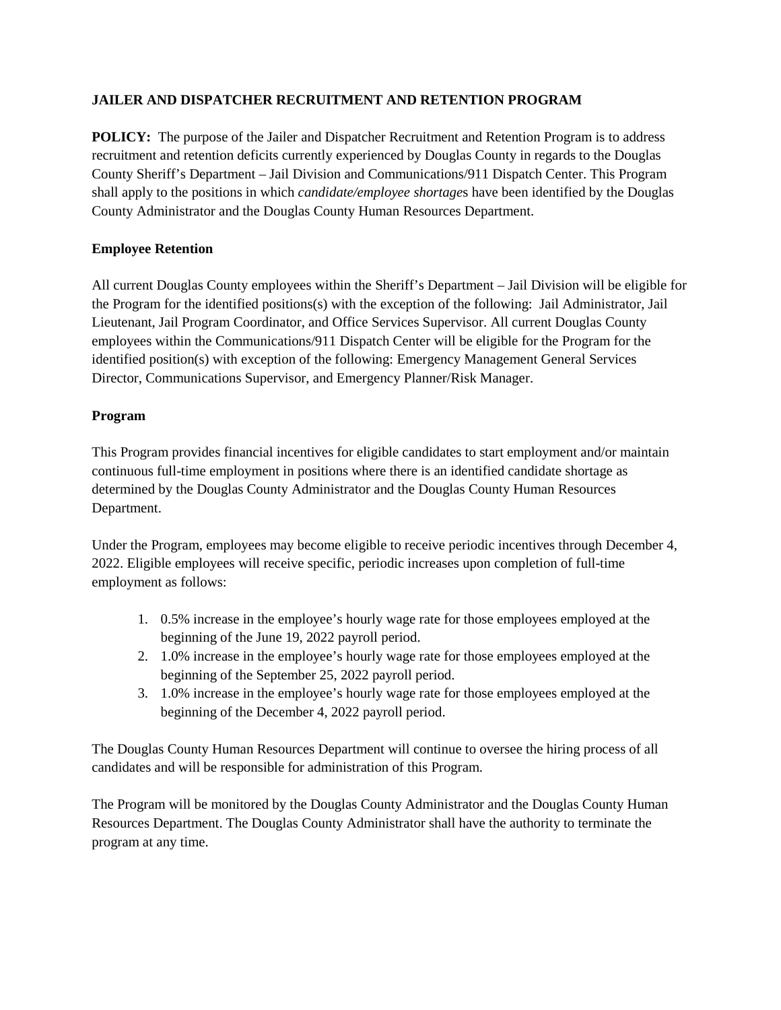# **JAILER AND DISPATCHER RECRUITMENT AND RETENTION PROGRAM**

**POLICY:** The purpose of the Jailer and Dispatcher Recruitment and Retention Program is to address recruitment and retention deficits currently experienced by Douglas County in regards to the Douglas County Sheriff's Department – Jail Division and Communications/911 Dispatch Center. This Program shall apply to the positions in which *candidate/employee shortage*s have been identified by the Douglas County Administrator and the Douglas County Human Resources Department.

# **Employee Retention**

All current Douglas County employees within the Sheriff's Department – Jail Division will be eligible for the Program for the identified positions(s) with the exception of the following: Jail Administrator, Jail Lieutenant, Jail Program Coordinator, and Office Services Supervisor. All current Douglas County employees within the Communications/911 Dispatch Center will be eligible for the Program for the identified position(s) with exception of the following: Emergency Management General Services Director, Communications Supervisor, and Emergency Planner/Risk Manager.

### **Program**

This Program provides financial incentives for eligible candidates to start employment and/or maintain continuous full-time employment in positions where there is an identified candidate shortage as determined by the Douglas County Administrator and the Douglas County Human Resources Department.

Under the Program, employees may become eligible to receive periodic incentives through December 4, 2022. Eligible employees will receive specific, periodic increases upon completion of full-time employment as follows:

- 1. 0.5% increase in the employee's hourly wage rate for those employees employed at the beginning of the June 19, 2022 payroll period.
- 2. 1.0% increase in the employee's hourly wage rate for those employees employed at the beginning of the September 25, 2022 payroll period.
- 3. 1.0% increase in the employee's hourly wage rate for those employees employed at the beginning of the December 4, 2022 payroll period.

The Douglas County Human Resources Department will continue to oversee the hiring process of all candidates and will be responsible for administration of this Program.

The Program will be monitored by the Douglas County Administrator and the Douglas County Human Resources Department. The Douglas County Administrator shall have the authority to terminate the program at any time.